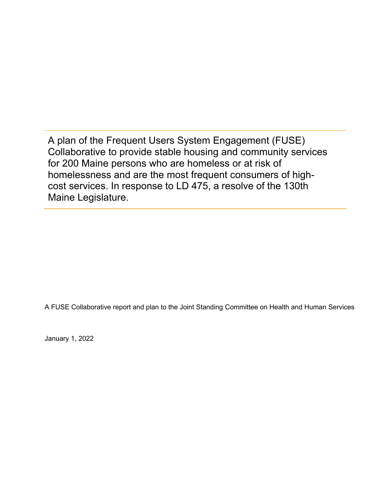A plan of the Frequent Users System Engagement (FUSE) Collaborative to provide stable housing and community services for 200 Maine persons who are homeless or at risk of homelessness and are the most frequent consumers of highcost services. In response to LD 475, a resolve of the 130th Maine Legislature.

A FUSE Collaborative report and plan to the Joint Standing Committee on Health and Human Services

January 1, 2022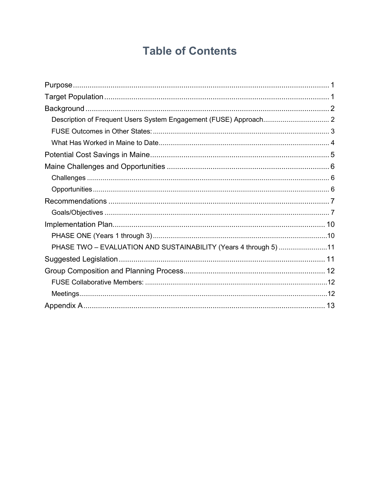# **Table of Contents**

| PHASE TWO - EVALUATION AND SUSTAINABILITY (Years 4 through 5) 11 |  |
|------------------------------------------------------------------|--|
|                                                                  |  |
|                                                                  |  |
|                                                                  |  |
|                                                                  |  |
|                                                                  |  |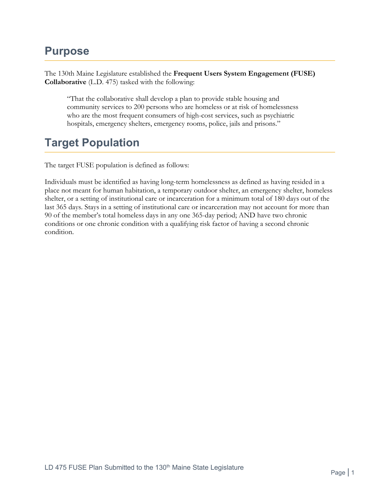# <span id="page-2-0"></span>**Purpose**

The 130th Maine Legislature established the **Frequent Users System Engagement (FUSE) Collaborative** (L.D. 475) tasked with the following:

"That the collaborative shall develop a plan to provide stable housing and community services to 200 persons who are homeless or at risk of homelessness who are the most frequent consumers of high-cost services, such as psychiatric hospitals, emergency shelters, emergency rooms, police, jails and prisons."

# <span id="page-2-1"></span>**Target Population**

The target FUSE population is defined as follows:

Individuals must be identified as having long-term homelessness as defined as having resided in a place not meant for human habitation, a temporary outdoor shelter, an emergency shelter, homeless shelter, or a setting of institutional care or incarceration for a minimum total of 180 days out of the last 365 days. Stays in a setting of institutional care or incarceration may not account for more than 90 of the member's total homeless days in any one 365-day period; AND have two chronic conditions or one chronic condition with a qualifying risk factor of having a second chronic condition.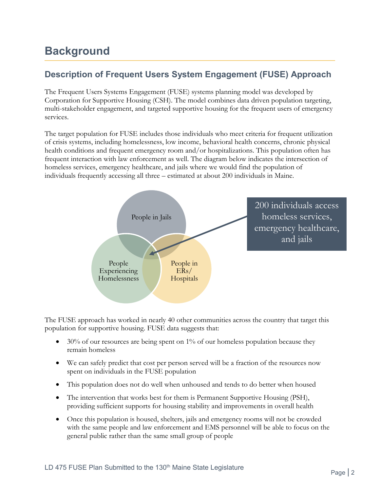# <span id="page-3-0"></span>**Background**

## <span id="page-3-1"></span>**Description of Frequent Users System Engagement (FUSE) Approach**

The Frequent Users Systems Engagement (FUSE) systems planning model was developed by Corporation for Supportive Housing (CSH). The model combines data driven population targeting, multi-stakeholder engagement, and targeted supportive housing for the frequent users of emergency services.

The target population for FUSE includes those individuals who meet criteria for frequent utilization of crisis systems, including homelessness, low income, behavioral health concerns, chronic physical health conditions and frequent emergency room and/or hospitalizations. This population often has frequent interaction with law enforcement as well. The diagram below indicates the intersection of homeless services, emergency healthcare, and jails where we would find the population of individuals frequently accessing all three – estimated at about 200 individuals in Maine.



The FUSE approach has worked in nearly 40 other communities across the country that target this population for supportive housing. FUSE data suggests that:

- $\bullet$  30% of our resources are being spent on 1% of our homeless population because they remain homeless
- We can safely predict that cost per person served will be a fraction of the resources now spent on individuals in the FUSE population
- This population does not do well when unhoused and tends to do better when housed
- The intervention that works best for them is Permanent Supportive Housing (PSH), providing sufficient supports for housing stability and improvements in overall health
- Once this population is housed, shelters, jails and emergency rooms will not be crowded with the same people and law enforcement and EMS personnel will be able to focus on the general public rather than the same small group of people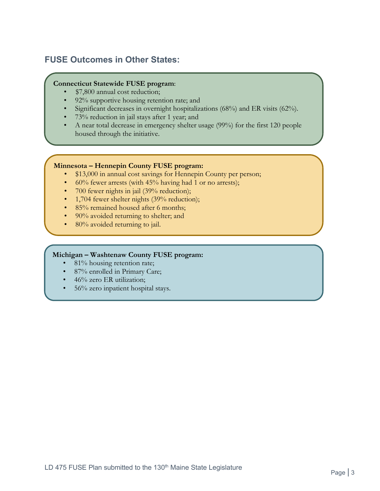## <span id="page-4-0"></span>**FUSE Outcomes in Other States:**

#### **Connecticut Statewide FUSE program**:

- \$7,800 annual cost reduction;
- 92% supportive housing retention rate; and
- Significant decreases in overnight hospitalizations (68%) and ER visits (62%).
- 73% reduction in jail stays after 1 year; and
- A near total decrease in emergency shelter usage (99%) for the first 120 people housed through the initiative.

#### **Minnesota – Hennepin County FUSE program:**

- \$13,000 in annual cost savings for Hennepin County per person;
- $60\%$  fewer arrests (with 45% having had 1 or no arrests);
- 700 fewer nights in jail (39% reduction);
- 1,704 fewer shelter nights (39% reduction);
- 85% remained housed after 6 months;
- 90% avoided returning to shelter; and
- 80% avoided returning to jail.

#### **Michigan – Washtenaw County FUSE program:**

- 81% housing retention rate;
- 87% enrolled in Primary Care;
- 46% zero ER utilization;
- 56% zero inpatient hospital stays.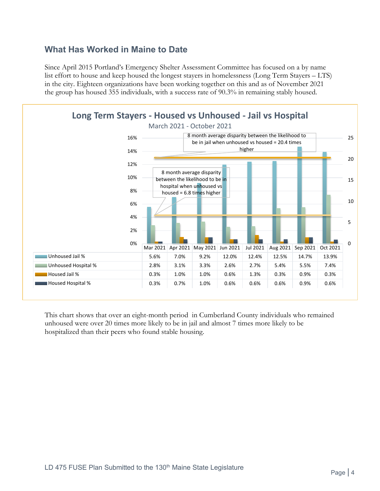### <span id="page-5-0"></span>**What Has Worked in Maine to Date**

Since April 2015 Portland's Emergency Shelter Assessment Committee has focused on a by name list effort to house and keep housed the longest stayers in homelessness (Long Term Stayers – LTS) in the city. Eighteen organizations have been working together on this and as of November 2021 the group has housed 355 individuals, with a success rate of 90.3% in remaining stably housed.



This chart shows that over an eight-month period in Cumberland County individuals who remained unhoused were over 20 times more likely to be in jail and almost 7 times more likely to be hospitalized than their peers who found stable housing.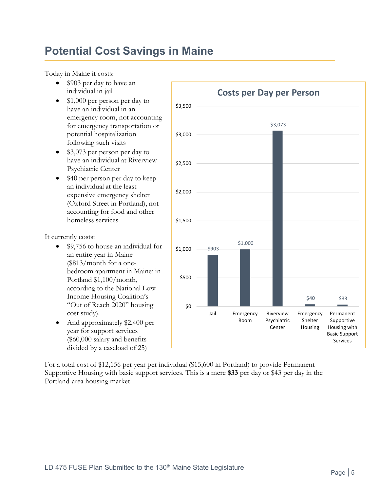# <span id="page-6-0"></span>**Potential Cost Savings in Maine**

Today in Maine it costs:

- \$903 per day to have an individual in jail
- \$1,000 per person per day to have an individual in an emergency room, not accounting for emergency transportation or potential hospitalization following such visits
- \$3,073 per person per day to have an individual at Riverview Psychiatric Center
- \$40 per person per day to keep an individual at the least expensive emergency shelter (Oxford Street in Portland), not accounting for food and other homeless services

It currently costs:

- \$9,756 to house an individual for an entire year in Maine (\$813/month for a onebedroom apartment in Maine; in Portland \$1,100/month, according to the National Low Income Housing Coalition's "Out of Reach 2020" housing cost study).
- And approximately \$2,400 per year for support services (\$60,000 salary and benefits divided by a caseload of 25)



For a total cost of \$12,156 per year per individual (\$15,600 in Portland) to provide Permanent Supportive Housing with basic support services. This is a mere **\$33** per day or \$43 per day in the Portland-area housing market.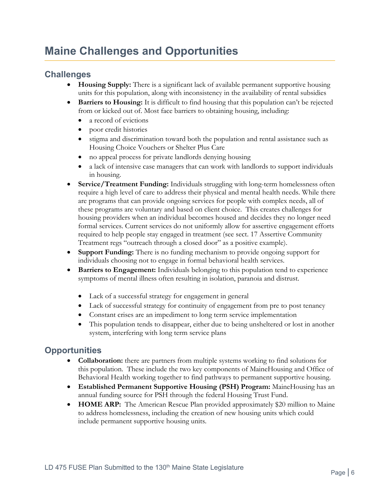# <span id="page-7-0"></span>**Maine Challenges and Opportunities**

## <span id="page-7-1"></span>**Challenges**

- **Housing Supply:** There is a significant lack of available permanent supportive housing units for this population, along with inconsistency in the availability of rental subsidies
- **Barriers to Housing:** It is difficult to find housing that this population can't be rejected from or kicked out of. Most face barriers to obtaining housing, including:
	- a record of evictions
	- poor credit histories
	- stigma and discrimination toward both the population and rental assistance such as Housing Choice Vouchers or Shelter Plus Care
	- no appeal process for private landlords denying housing
	- a lack of intensive case managers that can work with landlords to support individuals in housing.
- **Service/Treatment Funding:** Individuals struggling with long-term homelessness often require a high level of care to address their physical and mental health needs. While there are programs that can provide ongoing services for people with complex needs, all of these programs are voluntary and based on client choice. This creates challenges for housing providers when an individual becomes housed and decides they no longer need formal services. Current services do not uniformly allow for assertive engagement efforts required to help people stay engaged in treatment (see sect. 17 Assertive Community Treatment regs "outreach through a closed door" as a positive example).
- **Support Funding:** There is no funding mechanism to provide ongoing support for individuals choosing not to engage in formal behavioral health services.
- **Barriers to Engagement:** Individuals belonging to this population tend to experience symptoms of mental illness often resulting in isolation, paranoia and distrust.
	- Lack of a successful strategy for engagement in general
	- Lack of successful strategy for continuity of engagement from pre to post tenancy
	- Constant crises are an impediment to long term service implementation
	- This population tends to disappear, either due to being unsheltered or lost in another system, interfering with long term service plans

## <span id="page-7-2"></span>**Opportunities**

- **Collaboration:** there are partners from multiple systems working to find solutions for this population. These include the two key components of MaineHousing and Office of Behavioral Health working together to find pathways to permanent supportive housing.
- **Established Permanent Supportive Housing (PSH) Program:** MaineHousing has an annual funding source for PSH through the federal Housing Trust Fund.
- **HOME ARP:** The American Rescue Plan provided approximately \$20 million to Maine to address homelessness, including the creation of new housing units which could include permanent supportive housing units.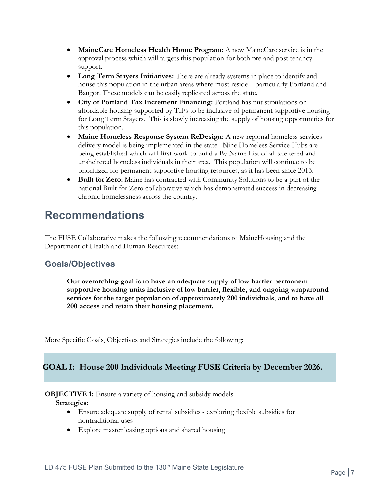- **MaineCare Homeless Health Home Program:** A new MaineCare service is in the approval process which will targets this population for both pre and post tenancy support.
- **Long Term Stayers Initiatives:** There are already systems in place to identify and house this population in the urban areas where most reside – particularly Portland and Bangor. These models can be easily replicated across the state.
- **City of Portland Tax Increment Financing:** Portland has put stipulations on affordable housing supported by TIFs to be inclusive of permanent supportive housing for Long Term Stayers. This is slowly increasing the supply of housing opportunities for this population.
- **Maine Homeless Response System ReDesign:** A new regional homeless services delivery model is being implemented in the state. Nine Homeless Service Hubs are being established which will first work to build a By Name List of all sheltered and unsheltered homeless individuals in their area. This population will continue to be prioritized for permanent supportive housing resources, as it has been since 2013.
- **Built for Zero:** Maine has contracted with Community Solutions to be a part of the national Built for Zero collaborative which has demonstrated success in decreasing chronic homelessness across the country.

## <span id="page-8-0"></span>**Recommendations**

The FUSE Collaborative makes the following recommendations to MaineHousing and the Department of Health and Human Resources:

## <span id="page-8-1"></span>**Goals/Objectives**

- **Our overarching goal is to have an adequate supply of low barrier permanent supportive housing units inclusive of low barrier, flexible, and ongoing wraparound services for the target population of approximately 200 individuals, and to have all 200 access and retain their housing placement.**

More Specific Goals, Objectives and Strategies include the following:

### **GOAL I: House 200 Individuals Meeting FUSE Criteria by December 2026.**

#### **OBJECTIVE 1:** Ensure a variety of housing and subsidy models **Strategies:**

- Ensure adequate supply of rental subsidies exploring flexible subsidies for nontraditional uses
- Explore master leasing options and shared housing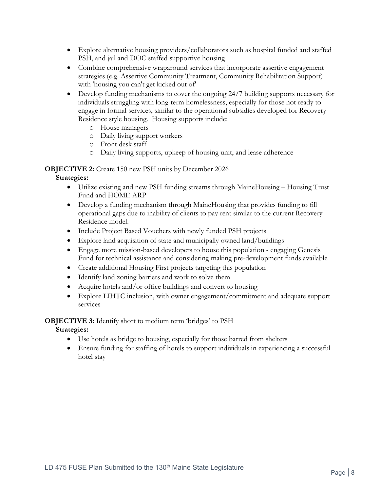- Explore alternative housing providers/collaborators such as hospital funded and staffed PSH, and jail and DOC staffed supportive housing
- Combine comprehensive wraparound services that incorporate assertive engagement strategies (e.g. Assertive Community Treatment, Community Rehabilitation Support) with 'housing you can't get kicked out of'
- Develop funding mechanisms to cover the ongoing 24/7 building supports necessary for individuals struggling with long-term homelessness, especially for those not ready to engage in formal services, similar to the operational subsidies developed for Recovery Residence style housing. Housing supports include:
	- o House managers
	- o Daily living support workers
	- o Front desk staff
	- o Daily living supports, upkeep of housing unit, and lease adherence

### **OBJECTIVE 2:** Create 150 new PSH units by December 2026

**Strategies:**

- Utilize existing and new PSH funding streams through MaineHousing Housing Trust Fund and HOME ARP
- Develop a funding mechanism through MaineHousing that provides funding to fill operational gaps due to inability of clients to pay rent similar to the current Recovery Residence model.
- Include Project Based Vouchers with newly funded PSH projects
- Explore land acquisition of state and municipally owned land/buildings
- Engage more mission-based developers to house this population engaging Genesis Fund for technical assistance and considering making pre-development funds available
- Create additional Housing First projects targeting this population
- Identify land zoning barriers and work to solve them
- Acquire hotels and/or office buildings and convert to housing
- Explore LIHTC inclusion, with owner engagement/commitment and adequate support services

### **OBJECTIVE 3:** Identify short to medium term 'bridges' to PSH

**Strategies:**

- Use hotels as bridge to housing, especially for those barred from shelters
- Ensure funding for staffing of hotels to support individuals in experiencing a successful hotel stay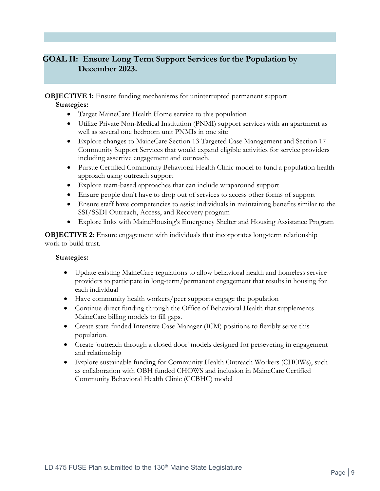### **GOAL II: Ensure Long Term Support Services for the Population by December 2023.**

**OBJECTIVE 1:** Ensure funding mechanisms for uninterrupted permanent support **Strategies:**

- Target MaineCare Health Home service to this population
- Utilize Private Non-Medical Institution (PNMI) support services with an apartment as well as several one bedroom unit PNMIs in one site
- Explore changes to MaineCare Section 13 Targeted Case Management and Section 17 Community Support Services that would expand eligible activities for service providers including assertive engagement and outreach.
- Pursue Certified Community Behavioral Health Clinic model to fund a population health approach using outreach support
- Explore team-based approaches that can include wraparound support
- Ensure people don't have to drop out of services to access other forms of support
- Ensure staff have competencies to assist individuals in maintaining benefits similar to the SSI/SSDI Outreach, Access, and Recovery program
- Explore links with MaineHousing's Emergency Shelter and Housing Assistance Program

**OBJECTIVE 2:** Ensure engagement with individuals that incorporates long-term relationship work to build trust.

#### **Strategies:**

- Update existing MaineCare regulations to allow behavioral health and homeless service providers to participate in long-term/permanent engagement that results in housing for each individual
- Have community health workers/peer supports engage the population
- Continue direct funding through the Office of Behavioral Health that supplements MaineCare billing models to fill gaps.
- Create state-funded Intensive Case Manager (ICM) positions to flexibly serve this population.
- Create 'outreach through a closed door' models designed for persevering in engagement and relationship
- Explore sustainable funding for Community Health Outreach Workers (CHOWs), such as collaboration with OBH funded CHOWS and inclusion in MaineCare Certified Community Behavioral Health Clinic (CCBHC) model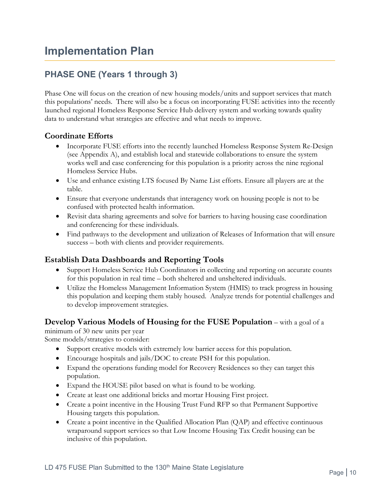## <span id="page-11-1"></span><span id="page-11-0"></span>**PHASE ONE (Years 1 through 3)**

Phase One will focus on the creation of new housing models/units and support services that match this populations' needs. There will also be a focus on incorporating FUSE activities into the recently launched regional Homeless Response Service Hub delivery system and working towards quality data to understand what strategies are effective and what needs to improve.

### **Coordinate Efforts**

- Incorporate FUSE efforts into the recently launched Homeless Response System Re-Design (see Appendix A), and establish local and statewide collaborations to ensure the system works well and case conferencing for this population is a priority across the nine regional Homeless Service Hubs.
- Use and enhance existing LTS focused By Name List efforts. Ensure all players are at the table.
- Ensure that everyone understands that interagency work on housing people is not to be confused with protected health information.
- Revisit data sharing agreements and solve for barriers to having housing case coordination and conferencing for these individuals.
- Find pathways to the development and utilization of Releases of Information that will ensure success – both with clients and provider requirements.

### **Establish Data Dashboards and Reporting Tools**

- Support Homeless Service Hub Coordinators in collecting and reporting on accurate counts for this population in real time – both sheltered and unsheltered individuals.
- Utilize the Homeless Management Information System (HMIS) to track progress in housing this population and keeping them stably housed. Analyze trends for potential challenges and to develop improvement strategies.

### **Develop Various Models of Housing for the FUSE Population** – with a goal of a

minimum of 30 new units per year Some models/strategies to consider:

- Support creative models with extremely low barrier access for this population.
- Encourage hospitals and jails/DOC to create PSH for this population.
- Expand the operations funding model for Recovery Residences so they can target this population.
- Expand the HOUSE pilot based on what is found to be working.
- Create at least one additional bricks and mortar Housing First project.
- Create a point incentive in the Housing Trust Fund RFP so that Permanent Supportive Housing targets this population.
- Create a point incentive in the Qualified Allocation Plan (QAP) and effective continuous wraparound support services so that Low Income Housing Tax Credit housing can be inclusive of this population.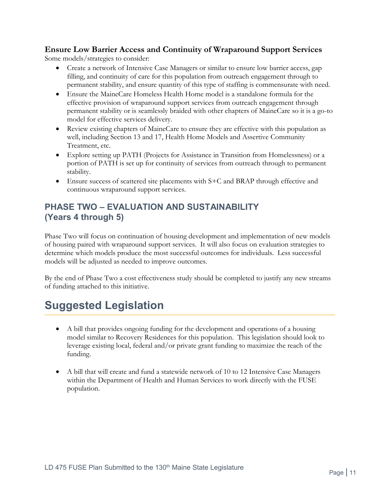### **Ensure Low Barrier Access and Continuity of Wraparound Support Services**

Some models/strategies to consider:

- Create a network of Intensive Case Managers or similar to ensure low barrier access, gap filling, and continuity of care for this population from outreach engagement through to permanent stability, and ensure quantity of this type of staffing is commensurate with need.
- Ensure the MaineCare Homeless Health Home model is a standalone formula for the effective provision of wraparound support services from outreach engagement through permanent stability or is seamlessly braided with other chapters of MaineCare so it is a go-to model for effective services delivery.
- Review existing chapters of MaineCare to ensure they are effective with this population as well, including Section 13 and 17, Health Home Models and Assertive Community Treatment, etc.
- Explore setting up PATH (Projects for Assistance in Transition from Homelessness) or a portion of PATH is set up for continuity of services from outreach through to permanent stability.
- Ensure success of scattered site placements with S+C and BRAP through effective and continuous wraparound support services.

## <span id="page-12-0"></span>**PHASE TWO – EVALUATION AND SUSTAINABILITY (Years 4 through 5)**

Phase Two will focus on continuation of housing development and implementation of new models of housing paired with wraparound support services. It will also focus on evaluation strategies to determine which models produce the most successful outcomes for individuals. Less successful models will be adjusted as needed to improve outcomes.

By the end of Phase Two a cost effectiveness study should be completed to justify any new streams of funding attached to this initiative.

# <span id="page-12-1"></span>**Suggested Legislation**

- A bill that provides ongoing funding for the development and operations of a housing model similar to Recovery Residences for this population. This legislation should look to leverage existing local, federal and/or private grant funding to maximize the reach of the funding.
- A bill that will create and fund a statewide network of 10 to 12 Intensive Case Managers within the Department of Health and Human Services to work directly with the FUSE population.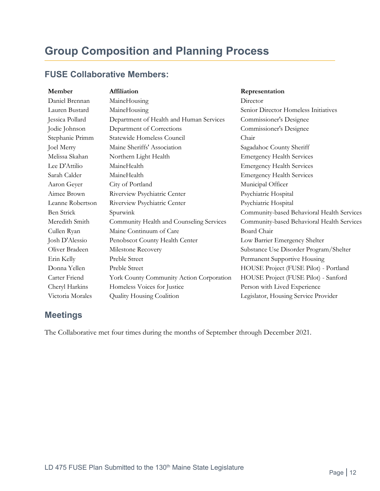# <span id="page-13-0"></span>**Group Composition and Planning Process**

## <span id="page-13-1"></span>**FUSE Collaborative Members:**

| Member           | Affiliation                              | Representation                             |
|------------------|------------------------------------------|--------------------------------------------|
| Daniel Brennan   | MaineHousing                             | Director                                   |
| Lauren Bustard   | MaineHousing                             | Senior Director Homeless Initiatives       |
| Jessica Pollard  | Department of Health and Human Services  | Commissioner's Designee                    |
| Jodie Johnson    | Department of Corrections                | Commissioner's Designee                    |
| Stephanie Primm  | Statewide Homeless Council               | Chair                                      |
| Joel Merry       | Maine Sheriffs' Association              | Sagadahoc County Sheriff                   |
| Melissa Skahan   | Northern Light Health                    | <b>Emergency Health Services</b>           |
| Lee D'Attilio    | MaineHealth                              | <b>Emergency Health Services</b>           |
| Sarah Calder     | MaineHealth                              | <b>Emergency Health Services</b>           |
| Aaron Geyer      | City of Portland                         | Municipal Officer                          |
| Aimee Brown      | Riverview Psychiatric Center             | Psychiatric Hospital                       |
| Leanne Robertson | Riverview Psychiatric Center             | Psychiatric Hospital                       |
| Ben Strick       | Spurwink                                 | Community-based Behavioral Health Services |
| Meredith Smith   | Community Health and Counseling Services | Community-based Behavioral Health Services |
| Cullen Ryan      | Maine Continuum of Care                  | Board Chair                                |
| Josh D'Alessio   | Penobscot County Health Center           | Low Barrier Emergency Shelter              |
| Oliver Bradeen   | Milestone Recovery                       | Substance Use Disorder Program/Shelter     |
| Erin Kelly       | Preble Street                            | Permanent Supportive Housing               |
| Donna Yellen     | Preble Street                            | HOUSE Project (FUSE Pilot) - Portland      |
| Carter Friend    | York County Community Action Corporation | HOUSE Project (FUSE Pilot) - Sanford       |
| Cheryl Harkins   | Homeless Voices for Justice              | Person with Lived Experience               |
| Victoria Morales | Quality Housing Coalition                | Legislator, Housing Service Provider       |
|                  |                                          |                                            |

## <span id="page-13-2"></span>**Meetings**

The Collaborative met four times during the months of September through December 2021.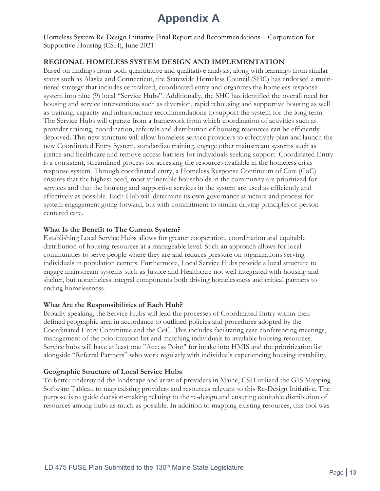# **Appendix A**

<span id="page-14-0"></span>Homeless System Re-Design Initiative Final Report and Recommendations – Corporation for Supportive Housing (CSH), June 2021

### **REGIONAL HOMELESS SYSTEM DESIGN AND IMPLEMENTATION**

Based on findings from both quantitative and qualitative analysis, along with learnings from similar states such as Alaska and Connecticut, the Statewide Homeless Council (SHC) has endorsed a multitiered strategy that includes centralized, coordinated entry and organizes the homeless response system into nine (9) local "Service Hubs". Additionally, the SHC has identified the overall need for housing and service interventions such as diversion, rapid rehousing and supportive housing as well as training, capacity and infrastructure recommendations to support the system for the long term. The Service Hubs will operate from a framework from which coordination of activities such as provider training, coordination, referrals and distribution of housing resources can be efficiently deployed. This new structure will allow homeless service providers to effectively plan and launch the new Coordinated Entry System, standardize training, engage other mainstream systems such as justice and healthcare and remove access barriers for individuals seeking support. Coordinated Entry is a consistent, streamlined process for accessing the resources available in the homeless crisis response system. Through coordinated entry, a Homeless Response Continuum of Care (CoC) ensures that the highest need, most vulnerable households in the community are prioritized for services and that the housing and supportive services in the system are used as efficiently and effectively as possible. Each Hub will determine its own governance structure and process for system engagement going forward, but with commitment to similar driving principles of personcentered care.

#### **What Is the Benefit to The Current System?**

Establishing Local Service Hubs allows for greater cooperation, coordination and equitable distribution of housing resources at a manageable level. Such an approach allows for local communities to serve people where they are and reduces pressure on organizations serving individuals in population centers. Furthermore, Local Service Hubs provide a local structure to engage mainstream systems such as Justice and Healthcare not well integrated with housing and shelter, but nonetheless integral components both driving homelessness and critical partners to ending homelessness.

#### **What Are the Responsibilities of Each Hub?**

Broadly speaking, the Service Hubs will lead the processes of Coordinated Entry within their defined geographic area in accordance to outlined policies and procedures adopted by the Coordinated Entry Committee and the CoC. This includes facilitating case conferencing meetings, management of the prioritization list and matching individuals to available housing resources. Service hubs will have at least one "Access Point" for intake into HMIS and the prioritization list alongside "Referral Partners" who work regularly with individuals experiencing housing instability.

#### **Geographic Structure of Local Service Hubs**

To better understand the landscape and array of providers in Maine, CSH utilized the GIS Mapping Software Tableau to map existing providers and resources relevant to this Re-Design Initiative. The purpose is to guide decision-making relating to the re-design and ensuring equitable distribution of resources among hubs as much as possible. In addition to mapping existing resources, this tool was